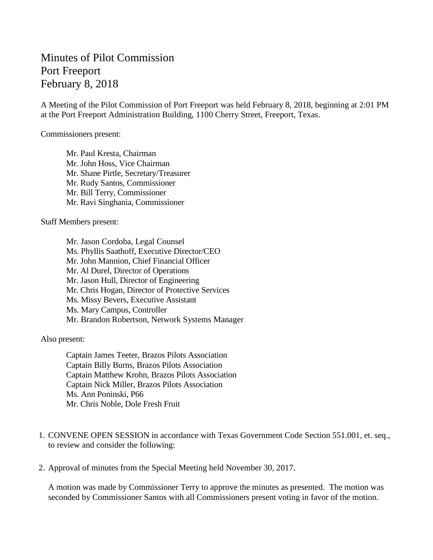## Minutes of Pilot Commission Port Freeport February 8, 2018

A Meeting of the Pilot Commission of Port Freeport was held February 8, 2018, beginning at 2:01 PM at the Port Freeport Administration Building, 1100 Cherry Street, Freeport, Texas.

Commissioners present:

Mr. Paul Kresta, Chairman Mr. John Hoss, Vice Chairman Mr. Shane Pirtle, Secretary/Treasurer Mr. Rudy Santos, Commissioner Mr. Bill Terry, Commissioner Mr. Ravi Singhania, Commissioner

Staff Members present:

Mr. Jason Cordoba, Legal Counsel Ms. Phyllis Saathoff, Executive Director/CEO Mr. John Mannion, Chief Financial Officer Mr. Al Durel, Director of Operations Mr. Jason Hull, Director of Engineering Mr. Chris Hogan, Director of Protective Services Ms. Missy Bevers, Executive Assistant Ms. Mary Campus, Controller Mr. Brandon Robertson, Network Systems Manager

Also present:

Captain James Teeter, Brazos Pilots Association Captain Billy Burns, Brazos Pilots Association Captain Matthew Krohn, Brazos Pilots Association Captain Nick Miller, Brazos Pilots Association Ms. Ann Poninski, P66 Mr. Chris Noble, Dole Fresh Fruit

- 1. CONVENE OPEN SESSION in accordance with Texas Government Code Section 551.001, et. seq., to review and consider the following:
- 2. Approval of minutes from the Special Meeting held November 30, 2017.

A motion was made by Commissioner Terry to approve the minutes as presented. The motion was seconded by Commissioner Santos with all Commissioners present voting in favor of the motion.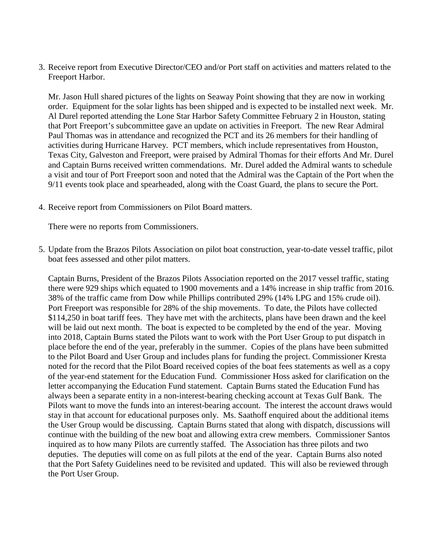3. Receive report from Executive Director/CEO and/or Port staff on activities and matters related to the Freeport Harbor.

Mr. Jason Hull shared pictures of the lights on Seaway Point showing that they are now in working order. Equipment for the solar lights has been shipped and is expected to be installed next week. Mr. Al Durel reported attending the Lone Star Harbor Safety Committee February 2 in Houston, stating that Port Freeport's subcommittee gave an update on activities in Freeport. The new Rear Admiral Paul Thomas was in attendance and recognized the PCT and its 26 members for their handling of activities during Hurricane Harvey. PCT members, which include representatives from Houston, Texas City, Galveston and Freeport, were praised by Admiral Thomas for their efforts And Mr. Durel and Captain Burns received written commendations. Mr. Durel added the Admiral wants to schedule a visit and tour of Port Freeport soon and noted that the Admiral was the Captain of the Port when the 9/11 events took place and spearheaded, along with the Coast Guard, the plans to secure the Port.

4. Receive report from Commissioners on Pilot Board matters.

There were no reports from Commissioners.

5. Update from the Brazos Pilots Association on pilot boat construction, year-to-date vessel traffic, pilot boat fees assessed and other pilot matters.

Captain Burns, President of the Brazos Pilots Association reported on the 2017 vessel traffic, stating there were 929 ships which equated to 1900 movements and a 14% increase in ship traffic from 2016. 38% of the traffic came from Dow while Phillips contributed 29% (14% LPG and 15% crude oil). Port Freeport was responsible for 28% of the ship movements. To date, the Pilots have collected \$114,250 in boat tariff fees. They have met with the architects, plans have been drawn and the keel will be laid out next month. The boat is expected to be completed by the end of the year. Moving into 2018, Captain Burns stated the Pilots want to work with the Port User Group to put dispatch in place before the end of the year, preferably in the summer. Copies of the plans have been submitted to the Pilot Board and User Group and includes plans for funding the project. Commissioner Kresta noted for the record that the Pilot Board received copies of the boat fees statements as well as a copy of the year-end statement for the Education Fund. Commissioner Hoss asked for clarification on the letter accompanying the Education Fund statement. Captain Burns stated the Education Fund has always been a separate entity in a non-interest-bearing checking account at Texas Gulf Bank. The Pilots want to move the funds into an interest-bearing account. The interest the account draws would stay in that account for educational purposes only. Ms. Saathoff enquired about the additional items the User Group would be discussing. Captain Burns stated that along with dispatch, discussions will continue with the building of the new boat and allowing extra crew members. Commissioner Santos inquired as to how many Pilots are currently staffed. The Association has three pilots and two deputies. The deputies will come on as full pilots at the end of the year. Captain Burns also noted that the Port Safety Guidelines need to be revisited and updated. This will also be reviewed through the Port User Group.